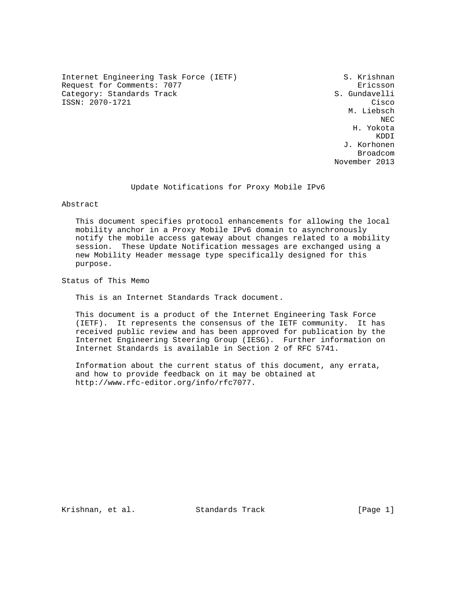Internet Engineering Task Force (IETF) S. Krishnan Request for Comments: 7077 erastic state of the Ericsson Category: Standards Track S. Gundavelli ISSN: 2070-1721 Cisco

 M. Liebsch NECTRIC INTENSITY OF REAL PROPERTY AND REAL PROPERTY OF REAL PROPERTY. H. Yokota **KDDI**  J. Korhonen in the contract of the contract of the contract of the contract of the contract of the contract of the contract of the contract of the contract of the contract of the contract of the contract of the contract of the contrac November 2013

# Update Notifications for Proxy Mobile IPv6

Abstract

 This document specifies protocol enhancements for allowing the local mobility anchor in a Proxy Mobile IPv6 domain to asynchronously notify the mobile access gateway about changes related to a mobility session. These Update Notification messages are exchanged using a new Mobility Header message type specifically designed for this purpose.

Status of This Memo

This is an Internet Standards Track document.

 This document is a product of the Internet Engineering Task Force (IETF). It represents the consensus of the IETF community. It has received public review and has been approved for publication by the Internet Engineering Steering Group (IESG). Further information on Internet Standards is available in Section 2 of RFC 5741.

 Information about the current status of this document, any errata, and how to provide feedback on it may be obtained at http://www.rfc-editor.org/info/rfc7077.

Krishnan, et al. Standards Track [Page 1]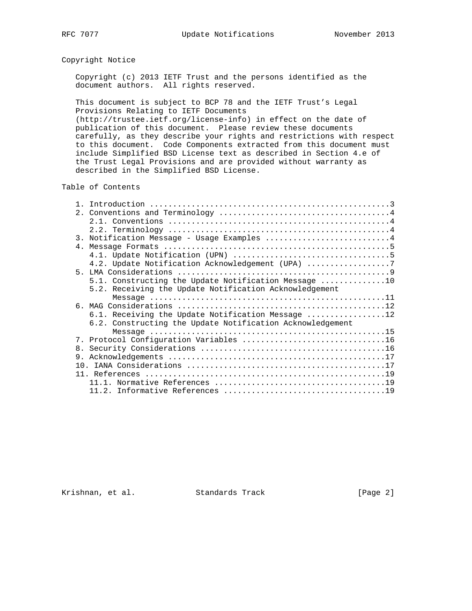# Copyright Notice

 Copyright (c) 2013 IETF Trust and the persons identified as the document authors. All rights reserved.

 This document is subject to BCP 78 and the IETF Trust's Legal Provisions Relating to IETF Documents

 (http://trustee.ietf.org/license-info) in effect on the date of publication of this document. Please review these documents carefully, as they describe your rights and restrictions with respect to this document. Code Components extracted from this document must include Simplified BSD License text as described in Section 4.e of the Trust Legal Provisions and are provided without warranty as described in the Simplified BSD License.

# Table of Contents

|    | 3. Notification Message - Usage Examples 4                |
|----|-----------------------------------------------------------|
|    |                                                           |
|    |                                                           |
|    | 4.2. Update Notification Acknowledgement (UPA) 7          |
|    |                                                           |
|    | 5.1. Constructing the Update Notification Message 10      |
|    | 5.2. Receiving the Update Notification Acknowledgement    |
|    |                                                           |
|    |                                                           |
|    | 6.1. Receiving the Update Notification Message 12         |
|    | 6.2. Constructing the Update Notification Acknowledgement |
|    |                                                           |
|    |                                                           |
|    |                                                           |
| 9. |                                                           |
|    |                                                           |
|    |                                                           |
|    |                                                           |
|    |                                                           |

Krishnan, et al. Standards Track [Page 2]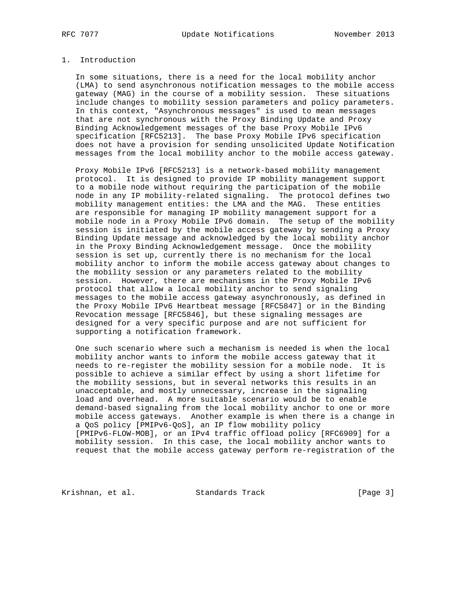# 1. Introduction

 In some situations, there is a need for the local mobility anchor (LMA) to send asynchronous notification messages to the mobile access gateway (MAG) in the course of a mobility session. These situations include changes to mobility session parameters and policy parameters. In this context, "Asynchronous messages" is used to mean messages that are not synchronous with the Proxy Binding Update and Proxy Binding Acknowledgement messages of the base Proxy Mobile IPv6 specification [RFC5213]. The base Proxy Mobile IPv6 specification does not have a provision for sending unsolicited Update Notification messages from the local mobility anchor to the mobile access gateway.

 Proxy Mobile IPv6 [RFC5213] is a network-based mobility management protocol. It is designed to provide IP mobility management support to a mobile node without requiring the participation of the mobile node in any IP mobility-related signaling. The protocol defines two mobility management entities: the LMA and the MAG. These entities are responsible for managing IP mobility management support for a mobile node in a Proxy Mobile IPv6 domain. The setup of the mobility session is initiated by the mobile access gateway by sending a Proxy Binding Update message and acknowledged by the local mobility anchor in the Proxy Binding Acknowledgement message. Once the mobility session is set up, currently there is no mechanism for the local mobility anchor to inform the mobile access gateway about changes to the mobility session or any parameters related to the mobility session. However, there are mechanisms in the Proxy Mobile IPv6 protocol that allow a local mobility anchor to send signaling messages to the mobile access gateway asynchronously, as defined in the Proxy Mobile IPv6 Heartbeat message [RFC5847] or in the Binding Revocation message [RFC5846], but these signaling messages are designed for a very specific purpose and are not sufficient for supporting a notification framework.

 One such scenario where such a mechanism is needed is when the local mobility anchor wants to inform the mobile access gateway that it needs to re-register the mobility session for a mobile node. It is possible to achieve a similar effect by using a short lifetime for the mobility sessions, but in several networks this results in an unacceptable, and mostly unnecessary, increase in the signaling load and overhead. A more suitable scenario would be to enable demand-based signaling from the local mobility anchor to one or more mobile access gateways. Another example is when there is a change in a QoS policy [PMIPv6-QoS], an IP flow mobility policy [PMIPv6-FLOW-MOB], or an IPv4 traffic offload policy [RFC6909] for a mobility session. In this case, the local mobility anchor wants to request that the mobile access gateway perform re-registration of the

Krishnan, et al. Standards Track [Page 3]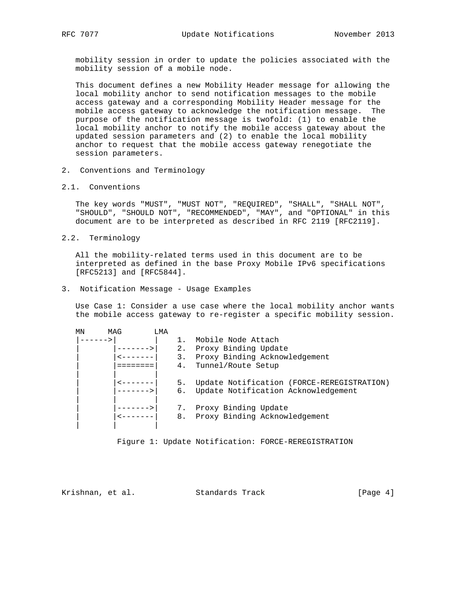mobility session in order to update the policies associated with the mobility session of a mobile node.

 This document defines a new Mobility Header message for allowing the local mobility anchor to send notification messages to the mobile access gateway and a corresponding Mobility Header message for the mobile access gateway to acknowledge the notification message. The purpose of the notification message is twofold: (1) to enable the local mobility anchor to notify the mobile access gateway about the updated session parameters and (2) to enable the local mobility anchor to request that the mobile access gateway renegotiate the session parameters.

- 2. Conventions and Terminology
- 2.1. Conventions

 The key words "MUST", "MUST NOT", "REQUIRED", "SHALL", "SHALL NOT", "SHOULD", "SHOULD NOT", "RECOMMENDED", "MAY", and "OPTIONAL" in this document are to be interpreted as described in RFC 2119 [RFC2119].

2.2. Terminology

 All the mobility-related terms used in this document are to be interpreted as defined in the base Proxy Mobile IPv6 specifications [RFC5213] and [RFC5844].

3. Notification Message - Usage Examples

 Use Case 1: Consider a use case where the local mobility anchor wants the mobile access gateway to re-register a specific mobility session.

| ΜN | MAG | T MA |          |                                                                                   |
|----|-----|------|----------|-----------------------------------------------------------------------------------|
|    |     |      |          | Mobile Node Attach                                                                |
|    |     |      | 2.       | Proxy Binding Update                                                              |
|    |     |      | 3.       | Proxy Binding Acknowledgement                                                     |
|    |     |      | 4.       | Tunnel/Route Setup                                                                |
|    |     |      | 5.<br>б. | Update Notification (FORCE-REREGISTRATION)<br>Update Notification Acknowledgement |
|    |     |      | 8.       | Proxy Binding Update<br>Proxy Binding Acknowledgement                             |

Figure 1: Update Notification: FORCE-REREGISTRATION

Krishnan, et al. Standards Track [Page 4]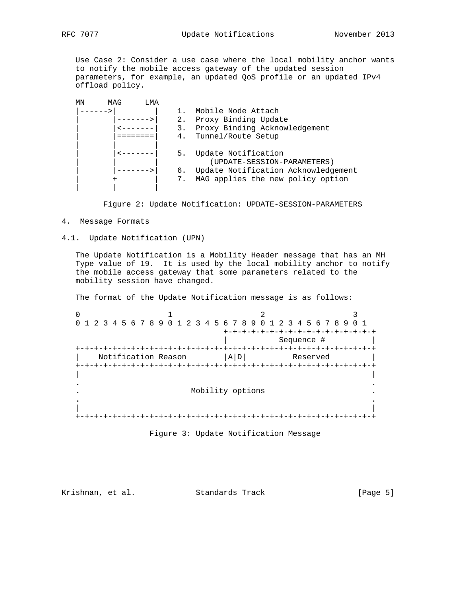Use Case 2: Consider a use case where the local mobility anchor wants to notify the mobile access gateway of the updated session parameters, for example, an updated QoS profile or an updated IPv4 offload policy.

| MAG<br>LMA<br>ΜN |       |                                                    |
|------------------|-------|----------------------------------------------------|
|                  |       | Mobile Node Attach                                 |
|                  | $2$ . | Proxy Binding Update                               |
|                  | 3.    | Proxy Binding Acknowledgement                      |
|                  | 4.    | Tunnel/Route Setup                                 |
|                  | 5.    | Update Notification<br>(UPDATE-SESSION-PARAMETERS) |
|                  | 6.    | Update Notification Acknowledgement                |
|                  |       | MAG applies the new policy option                  |
|                  |       |                                                    |

Figure 2: Update Notification: UPDATE-SESSION-PARAMETERS

4. Message Formats

4.1. Update Notification (UPN)

 The Update Notification is a Mobility Header message that has an MH Type value of 19. It is used by the local mobility anchor to notify the mobile access gateway that some parameters related to the mobility session have changed.

The format of the Update Notification message is as follows:

|  |  |  |                     |  |  |  |                  |  |  | 0 1 2 3 4 5 6 7 8 9 0 1 2 3 4 5 6 7 8 9 0 1 2 3 4 5 6 7 8 9 0 1 |          |  |  |  |
|--|--|--|---------------------|--|--|--|------------------|--|--|-----------------------------------------------------------------|----------|--|--|--|
|  |  |  |                     |  |  |  |                  |  |  | -+-+-+-+-+-+-+-+-+                                              |          |  |  |  |
|  |  |  |                     |  |  |  |                  |  |  | Sequence #                                                      |          |  |  |  |
|  |  |  |                     |  |  |  |                  |  |  |                                                                 |          |  |  |  |
|  |  |  | Notification Reason |  |  |  | A D              |  |  |                                                                 | Reserved |  |  |  |
|  |  |  |                     |  |  |  |                  |  |  |                                                                 |          |  |  |  |
|  |  |  |                     |  |  |  |                  |  |  |                                                                 |          |  |  |  |
|  |  |  |                     |  |  |  |                  |  |  |                                                                 |          |  |  |  |
|  |  |  |                     |  |  |  |                  |  |  |                                                                 |          |  |  |  |
|  |  |  |                     |  |  |  |                  |  |  |                                                                 |          |  |  |  |
|  |  |  |                     |  |  |  | Mobility options |  |  |                                                                 |          |  |  |  |
|  |  |  |                     |  |  |  |                  |  |  |                                                                 |          |  |  |  |
|  |  |  |                     |  |  |  |                  |  |  |                                                                 |          |  |  |  |

Figure 3: Update Notification Message

Krishnan, et al. Standards Track [Page 5]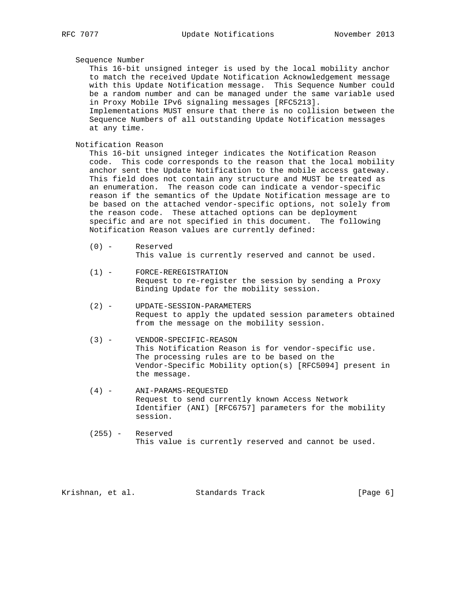# Sequence Number

 This 16-bit unsigned integer is used by the local mobility anchor to match the received Update Notification Acknowledgement message with this Update Notification message. This Sequence Number could be a random number and can be managed under the same variable used in Proxy Mobile IPv6 signaling messages [RFC5213]. Implementations MUST ensure that there is no collision between the Sequence Numbers of all outstanding Update Notification messages at any time.

Notification Reason

 This 16-bit unsigned integer indicates the Notification Reason code. This code corresponds to the reason that the local mobility anchor sent the Update Notification to the mobile access gateway. This field does not contain any structure and MUST be treated as an enumeration. The reason code can indicate a vendor-specific reason if the semantics of the Update Notification message are to be based on the attached vendor-specific options, not solely from the reason code. These attached options can be deployment specific and are not specified in this document. The following Notification Reason values are currently defined:

- (0) Reserved This value is currently reserved and cannot be used.
- (1) FORCE-REREGISTRATION Request to re-register the session by sending a Proxy Binding Update for the mobility session.
- (2) UPDATE-SESSION-PARAMETERS Request to apply the updated session parameters obtained from the message on the mobility session.
- (3) VENDOR-SPECIFIC-REASON This Notification Reason is for vendor-specific use. The processing rules are to be based on the Vendor-Specific Mobility option(s) [RFC5094] present in the message.
- (4) ANI-PARAMS-REQUESTED Request to send currently known Access Network Identifier (ANI) [RFC6757] parameters for the mobility session.
- (255) Reserved This value is currently reserved and cannot be used.

Krishnan, et al. Standards Track [Page 6]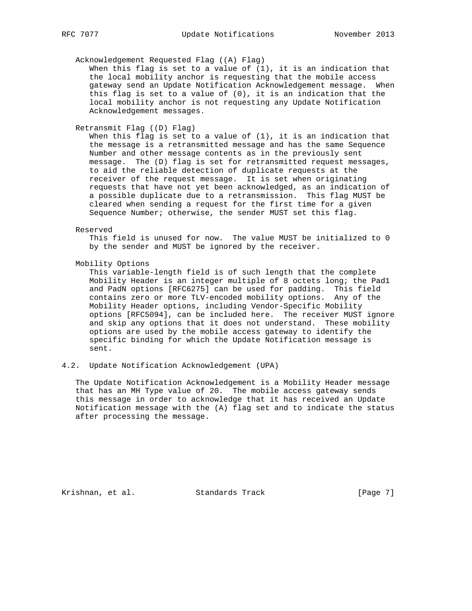### Acknowledgement Requested Flag ((A) Flag)

When this flag is set to a value of  $(1)$ , it is an indication that the local mobility anchor is requesting that the mobile access gateway send an Update Notification Acknowledgement message. When this flag is set to a value of (0), it is an indication that the local mobility anchor is not requesting any Update Notification Acknowledgement messages.

#### Retransmit Flag ((D) Flag)

 When this flag is set to a value of (1), it is an indication that the message is a retransmitted message and has the same Sequence Number and other message contents as in the previously sent message. The (D) flag is set for retransmitted request messages, to aid the reliable detection of duplicate requests at the receiver of the request message. It is set when originating requests that have not yet been acknowledged, as an indication of a possible duplicate due to a retransmission. This flag MUST be cleared when sending a request for the first time for a given Sequence Number; otherwise, the sender MUST set this flag.

#### Reserved

 This field is unused for now. The value MUST be initialized to 0 by the sender and MUST be ignored by the receiver.

Mobility Options

 This variable-length field is of such length that the complete Mobility Header is an integer multiple of 8 octets long; the Pad1 and PadN options [RFC6275] can be used for padding. This field contains zero or more TLV-encoded mobility options. Any of the Mobility Header options, including Vendor-Specific Mobility options [RFC5094], can be included here. The receiver MUST ignore and skip any options that it does not understand. These mobility options are used by the mobile access gateway to identify the specific binding for which the Update Notification message is sent.

# 4.2. Update Notification Acknowledgement (UPA)

 The Update Notification Acknowledgement is a Mobility Header message that has an MH Type value of 20. The mobile access gateway sends this message in order to acknowledge that it has received an Update Notification message with the (A) flag set and to indicate the status after processing the message.

Krishnan, et al. Standards Track [Page 7]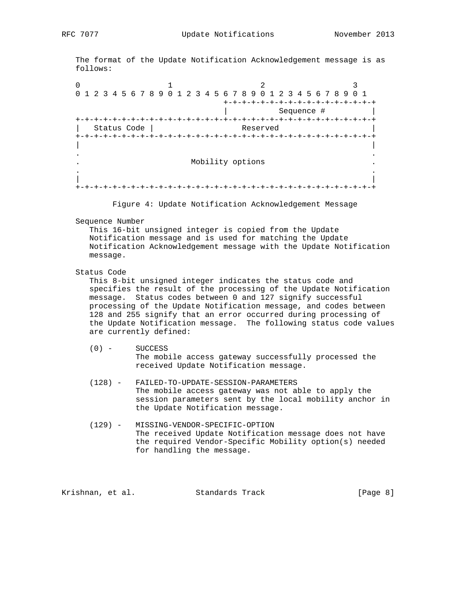The format of the Update Notification Acknowledgement message is as follows:

0  $1$  2 3 0 1 2 3 4 5 6 7 8 9 0 1 2 3 4 5 6 7 8 9 0 1 2 3 4 5 6 7 8 9 0 1 +-+-+-+-+-+-+-+-+-+-+-+-+-+-+-+-+ Sequence # +-+-+-+-+-+-+-+-+-+-+-+-+-+-+-+-+-+-+-+-+-+-+-+-+-+-+-+-+-+-+-+-+ | Status Code | Reserved | +-+-+-+-+-+-+-+-+-+-+-+-+-+-+-+-+-+-+-+-+-+-+-+-+-+-+-+-+-+-+-+-+ | | . . . Mobility options . . . | | +-+-+-+-+-+-+-+-+-+-+-+-+-+-+-+-+-+-+-+-+-+-+-+-+-+-+-+-+-+-+-+-+

Figure 4: Update Notification Acknowledgement Message

Sequence Number

 This 16-bit unsigned integer is copied from the Update Notification message and is used for matching the Update Notification Acknowledgement message with the Update Notification message.

### Status Code

 This 8-bit unsigned integer indicates the status code and specifies the result of the processing of the Update Notification message. Status codes between 0 and 127 signify successful processing of the Update Notification message, and codes between 128 and 255 signify that an error occurred during processing of the Update Notification message. The following status code values are currently defined:

# (0) - SUCCESS The mobile access gateway successfully processed the received Update Notification message.

- (128) FAILED-TO-UPDATE-SESSION-PARAMETERS The mobile access gateway was not able to apply the session parameters sent by the local mobility anchor in the Update Notification message.
- (129) MISSING-VENDOR-SPECIFIC-OPTION The received Update Notification message does not have the required Vendor-Specific Mobility option(s) needed for handling the message.

Krishnan, et al. Standards Track [Page 8]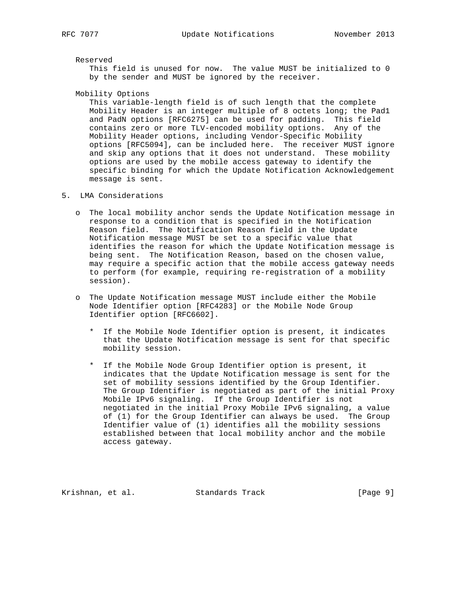Reserved

 This field is unused for now. The value MUST be initialized to 0 by the sender and MUST be ignored by the receiver.

Mobility Options

 This variable-length field is of such length that the complete Mobility Header is an integer multiple of 8 octets long; the Pad1 and PadN options [RFC6275] can be used for padding. This field contains zero or more TLV-encoded mobility options. Any of the Mobility Header options, including Vendor-Specific Mobility options [RFC5094], can be included here. The receiver MUST ignore and skip any options that it does not understand. These mobility options are used by the mobile access gateway to identify the specific binding for which the Update Notification Acknowledgement message is sent.

- 5. LMA Considerations
	- o The local mobility anchor sends the Update Notification message in response to a condition that is specified in the Notification Reason field. The Notification Reason field in the Update Notification message MUST be set to a specific value that identifies the reason for which the Update Notification message is being sent. The Notification Reason, based on the chosen value, may require a specific action that the mobile access gateway needs to perform (for example, requiring re-registration of a mobility session).
	- o The Update Notification message MUST include either the Mobile Node Identifier option [RFC4283] or the Mobile Node Group Identifier option [RFC6602].
		- \* If the Mobile Node Identifier option is present, it indicates that the Update Notification message is sent for that specific mobility session.
		- \* If the Mobile Node Group Identifier option is present, it indicates that the Update Notification message is sent for the set of mobility sessions identified by the Group Identifier. The Group Identifier is negotiated as part of the initial Proxy Mobile IPv6 signaling. If the Group Identifier is not negotiated in the initial Proxy Mobile IPv6 signaling, a value of (1) for the Group Identifier can always be used. The Group Identifier value of (1) identifies all the mobility sessions established between that local mobility anchor and the mobile access gateway.

Krishnan, et al. Standards Track [Page 9]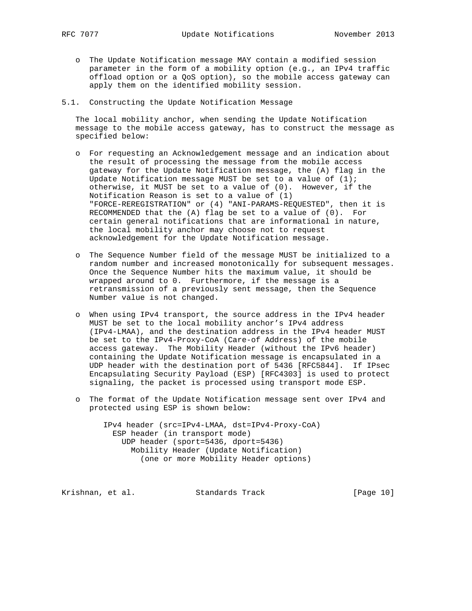- o The Update Notification message MAY contain a modified session parameter in the form of a mobility option (e.g., an IPv4 traffic offload option or a QoS option), so the mobile access gateway can apply them on the identified mobility session.
- 5.1. Constructing the Update Notification Message

 The local mobility anchor, when sending the Update Notification message to the mobile access gateway, has to construct the message as specified below:

- o For requesting an Acknowledgement message and an indication about the result of processing the message from the mobile access gateway for the Update Notification message, the (A) flag in the Update Notification message MUST be set to a value of  $(1)$ ; otherwise, it MUST be set to a value of (0). However, if the Notification Reason is set to a value of (1) "FORCE-REREGISTRATION" or (4) "ANI-PARAMS-REQUESTED", then it is RECOMMENDED that the (A) flag be set to a value of (0). For certain general notifications that are informational in nature, the local mobility anchor may choose not to request acknowledgement for the Update Notification message.
- o The Sequence Number field of the message MUST be initialized to a random number and increased monotonically for subsequent messages. Once the Sequence Number hits the maximum value, it should be wrapped around to 0. Furthermore, if the message is a retransmission of a previously sent message, then the Sequence Number value is not changed.
- o When using IPv4 transport, the source address in the IPv4 header MUST be set to the local mobility anchor's IPv4 address (IPv4-LMAA), and the destination address in the IPv4 header MUST be set to the IPv4-Proxy-CoA (Care-of Address) of the mobile access gateway. The Mobility Header (without the IPv6 header) containing the Update Notification message is encapsulated in a UDP header with the destination port of 5436 [RFC5844]. If IPsec Encapsulating Security Payload (ESP) [RFC4303] is used to protect signaling, the packet is processed using transport mode ESP.
- o The format of the Update Notification message sent over IPv4 and protected using ESP is shown below:

 IPv4 header (src=IPv4-LMAA, dst=IPv4-Proxy-CoA) ESP header (in transport mode) UDP header (sport=5436, dport=5436) Mobility Header (Update Notification) (one or more Mobility Header options)

Krishnan, et al. Standards Track [Page 10]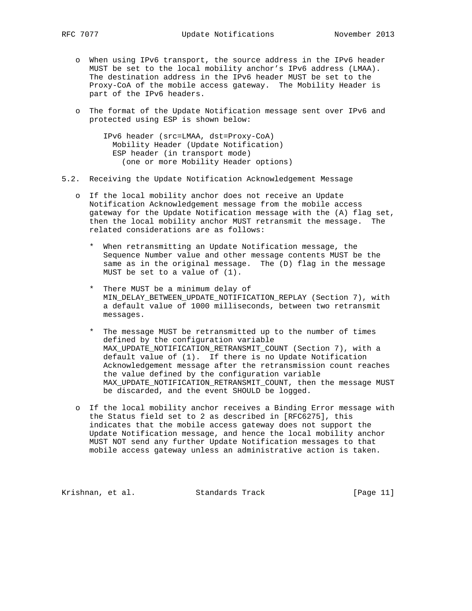- o When using IPv6 transport, the source address in the IPv6 header MUST be set to the local mobility anchor's IPv6 address (LMAA). The destination address in the IPv6 header MUST be set to the Proxy-CoA of the mobile access gateway. The Mobility Header is part of the IPv6 headers.
- o The format of the Update Notification message sent over IPv6 and protected using ESP is shown below:

 IPv6 header (src=LMAA, dst=Proxy-CoA) Mobility Header (Update Notification) ESP header (in transport mode) (one or more Mobility Header options)

- 5.2. Receiving the Update Notification Acknowledgement Message
	- o If the local mobility anchor does not receive an Update Notification Acknowledgement message from the mobile access gateway for the Update Notification message with the (A) flag set, then the local mobility anchor MUST retransmit the message. The related considerations are as follows:
		- \* When retransmitting an Update Notification message, the Sequence Number value and other message contents MUST be the same as in the original message. The (D) flag in the message MUST be set to a value of (1).
		- \* There MUST be a minimum delay of MIN\_DELAY\_BETWEEN\_UPDATE\_NOTIFICATION\_REPLAY (Section 7), with a default value of 1000 milliseconds, between two retransmit messages.
		- \* The message MUST be retransmitted up to the number of times defined by the configuration variable MAX\_UPDATE\_NOTIFICATION\_RETRANSMIT\_COUNT (Section 7), with a default value of (1). If there is no Update Notification Acknowledgement message after the retransmission count reaches the value defined by the configuration variable MAX\_UPDATE\_NOTIFICATION\_RETRANSMIT\_COUNT, then the message MUST be discarded, and the event SHOULD be logged.
	- o If the local mobility anchor receives a Binding Error message with the Status field set to 2 as described in [RFC6275], this indicates that the mobile access gateway does not support the Update Notification message, and hence the local mobility anchor MUST NOT send any further Update Notification messages to that mobile access gateway unless an administrative action is taken.

Krishnan, et al. Standards Track [Page 11]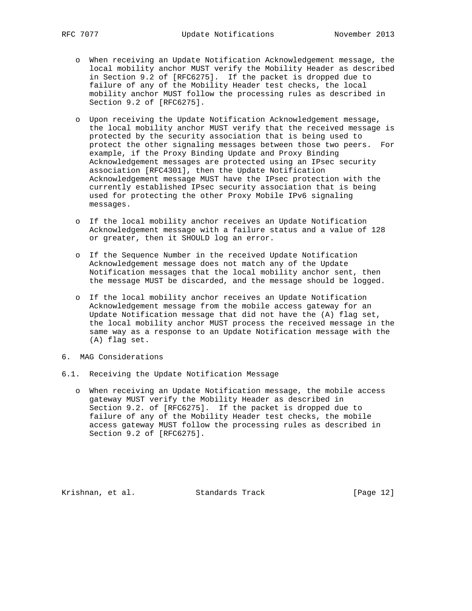- o When receiving an Update Notification Acknowledgement message, the local mobility anchor MUST verify the Mobility Header as described in Section 9.2 of [RFC6275]. If the packet is dropped due to failure of any of the Mobility Header test checks, the local mobility anchor MUST follow the processing rules as described in Section 9.2 of [RFC6275].
- o Upon receiving the Update Notification Acknowledgement message, the local mobility anchor MUST verify that the received message is protected by the security association that is being used to protect the other signaling messages between those two peers. For example, if the Proxy Binding Update and Proxy Binding Acknowledgement messages are protected using an IPsec security association [RFC4301], then the Update Notification Acknowledgement message MUST have the IPsec protection with the currently established IPsec security association that is being used for protecting the other Proxy Mobile IPv6 signaling messages.
- o If the local mobility anchor receives an Update Notification Acknowledgement message with a failure status and a value of 128 or greater, then it SHOULD log an error.
- o If the Sequence Number in the received Update Notification Acknowledgement message does not match any of the Update Notification messages that the local mobility anchor sent, then the message MUST be discarded, and the message should be logged.
- o If the local mobility anchor receives an Update Notification Acknowledgement message from the mobile access gateway for an Update Notification message that did not have the (A) flag set, the local mobility anchor MUST process the received message in the same way as a response to an Update Notification message with the (A) flag set.
- 6. MAG Considerations
- 6.1. Receiving the Update Notification Message
	- o When receiving an Update Notification message, the mobile access gateway MUST verify the Mobility Header as described in Section 9.2. of [RFC6275]. If the packet is dropped due to failure of any of the Mobility Header test checks, the mobile access gateway MUST follow the processing rules as described in Section 9.2 of [RFC6275].

Krishnan, et al. Standards Track [Page 12]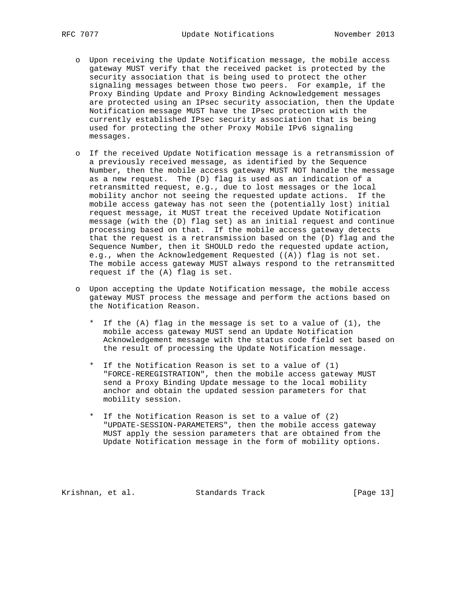- o Upon receiving the Update Notification message, the mobile access gateway MUST verify that the received packet is protected by the security association that is being used to protect the other signaling messages between those two peers. For example, if the Proxy Binding Update and Proxy Binding Acknowledgement messages are protected using an IPsec security association, then the Update Notification message MUST have the IPsec protection with the currently established IPsec security association that is being used for protecting the other Proxy Mobile IPv6 signaling messages.
- o If the received Update Notification message is a retransmission of a previously received message, as identified by the Sequence Number, then the mobile access gateway MUST NOT handle the message as a new request. The (D) flag is used as an indication of a retransmitted request, e.g., due to lost messages or the local mobility anchor not seeing the requested update actions. If the mobile access gateway has not seen the (potentially lost) initial request message, it MUST treat the received Update Notification message (with the (D) flag set) as an initial request and continue processing based on that. If the mobile access gateway detects that the request is a retransmission based on the (D) flag and the Sequence Number, then it SHOULD redo the requested update action, e.g., when the Acknowledgement Requested ((A)) flag is not set. The mobile access gateway MUST always respond to the retransmitted request if the (A) flag is set.
- o Upon accepting the Update Notification message, the mobile access gateway MUST process the message and perform the actions based on the Notification Reason.
	- \* If the (A) flag in the message is set to a value of (1), the mobile access gateway MUST send an Update Notification Acknowledgement message with the status code field set based on the result of processing the Update Notification message.
	- \* If the Notification Reason is set to a value of (1) "FORCE-REREGISTRATION", then the mobile access gateway MUST send a Proxy Binding Update message to the local mobility anchor and obtain the updated session parameters for that mobility session.
	- \* If the Notification Reason is set to a value of (2) "UPDATE-SESSION-PARAMETERS", then the mobile access gateway MUST apply the session parameters that are obtained from the Update Notification message in the form of mobility options.

Krishnan, et al. Standards Track [Page 13]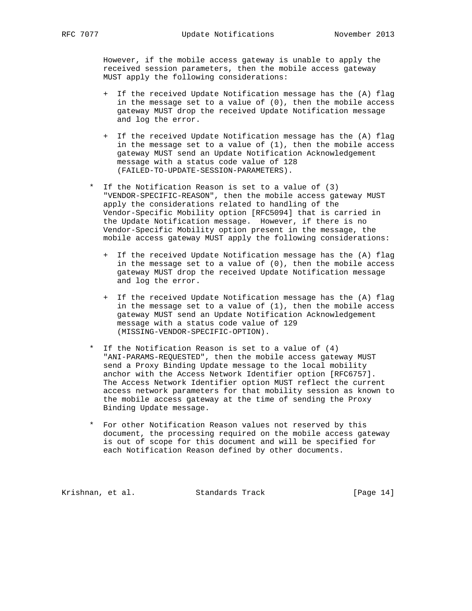However, if the mobile access gateway is unable to apply the received session parameters, then the mobile access gateway MUST apply the following considerations:

- + If the received Update Notification message has the (A) flag in the message set to a value of (0), then the mobile access gateway MUST drop the received Update Notification message and log the error.
- + If the received Update Notification message has the (A) flag in the message set to a value of  $(1)$ , then the mobile access gateway MUST send an Update Notification Acknowledgement message with a status code value of 128 (FAILED-TO-UPDATE-SESSION-PARAMETERS).
- \* If the Notification Reason is set to a value of (3) "VENDOR-SPECIFIC-REASON", then the mobile access gateway MUST apply the considerations related to handling of the Vendor-Specific Mobility option [RFC5094] that is carried in the Update Notification message. However, if there is no Vendor-Specific Mobility option present in the message, the mobile access gateway MUST apply the following considerations:
	- + If the received Update Notification message has the (A) flag in the message set to a value of (0), then the mobile access gateway MUST drop the received Update Notification message and log the error.
	- + If the received Update Notification message has the (A) flag in the message set to a value of  $(1)$ , then the mobile access gateway MUST send an Update Notification Acknowledgement message with a status code value of 129 (MISSING-VENDOR-SPECIFIC-OPTION).
- \* If the Notification Reason is set to a value of (4) "ANI-PARAMS-REQUESTED", then the mobile access gateway MUST send a Proxy Binding Update message to the local mobility anchor with the Access Network Identifier option [RFC6757]. The Access Network Identifier option MUST reflect the current access network parameters for that mobility session as known to the mobile access gateway at the time of sending the Proxy Binding Update message.
- \* For other Notification Reason values not reserved by this document, the processing required on the mobile access gateway is out of scope for this document and will be specified for each Notification Reason defined by other documents.

Krishnan, et al. Standards Track [Page 14]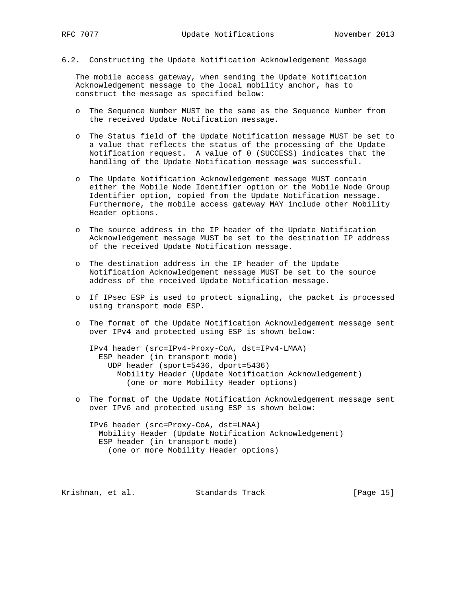6.2. Constructing the Update Notification Acknowledgement Message

 The mobile access gateway, when sending the Update Notification Acknowledgement message to the local mobility anchor, has to construct the message as specified below:

- o The Sequence Number MUST be the same as the Sequence Number from the received Update Notification message.
- o The Status field of the Update Notification message MUST be set to a value that reflects the status of the processing of the Update Notification request. A value of 0 (SUCCESS) indicates that the handling of the Update Notification message was successful.
- o The Update Notification Acknowledgement message MUST contain either the Mobile Node Identifier option or the Mobile Node Group Identifier option, copied from the Update Notification message. Furthermore, the mobile access gateway MAY include other Mobility Header options.
- o The source address in the IP header of the Update Notification Acknowledgement message MUST be set to the destination IP address of the received Update Notification message.
- o The destination address in the IP header of the Update Notification Acknowledgement message MUST be set to the source address of the received Update Notification message.
- o If IPsec ESP is used to protect signaling, the packet is processed using transport mode ESP.
- o The format of the Update Notification Acknowledgement message sent over IPv4 and protected using ESP is shown below:

 IPv4 header (src=IPv4-Proxy-CoA, dst=IPv4-LMAA) ESP header (in transport mode) UDP header (sport=5436, dport=5436) Mobility Header (Update Notification Acknowledgement) (one or more Mobility Header options)

 o The format of the Update Notification Acknowledgement message sent over IPv6 and protected using ESP is shown below:

 IPv6 header (src=Proxy-CoA, dst=LMAA) Mobility Header (Update Notification Acknowledgement) ESP header (in transport mode) (one or more Mobility Header options)

Krishnan, et al. Standards Track [Page 15]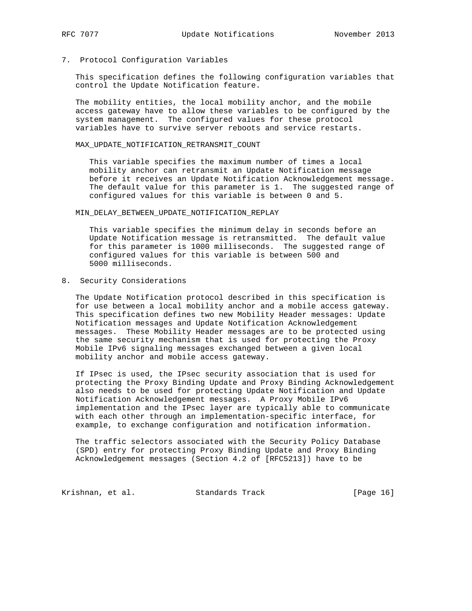### 7. Protocol Configuration Variables

 This specification defines the following configuration variables that control the Update Notification feature.

 The mobility entities, the local mobility anchor, and the mobile access gateway have to allow these variables to be configured by the system management. The configured values for these protocol variables have to survive server reboots and service restarts.

#### MAX\_UPDATE\_NOTIFICATION\_RETRANSMIT\_COUNT

 This variable specifies the maximum number of times a local mobility anchor can retransmit an Update Notification message before it receives an Update Notification Acknowledgement message. The default value for this parameter is 1. The suggested range of configured values for this variable is between 0 and 5.

#### MIN\_DELAY\_BETWEEN\_UPDATE\_NOTIFICATION\_REPLAY

 This variable specifies the minimum delay in seconds before an Update Notification message is retransmitted. The default value for this parameter is 1000 milliseconds. The suggested range of configured values for this variable is between 500 and 5000 milliseconds.

### 8. Security Considerations

 The Update Notification protocol described in this specification is for use between a local mobility anchor and a mobile access gateway. This specification defines two new Mobility Header messages: Update Notification messages and Update Notification Acknowledgement messages. These Mobility Header messages are to be protected using the same security mechanism that is used for protecting the Proxy Mobile IPv6 signaling messages exchanged between a given local mobility anchor and mobile access gateway.

 If IPsec is used, the IPsec security association that is used for protecting the Proxy Binding Update and Proxy Binding Acknowledgement also needs to be used for protecting Update Notification and Update Notification Acknowledgement messages. A Proxy Mobile IPv6 implementation and the IPsec layer are typically able to communicate with each other through an implementation-specific interface, for example, to exchange configuration and notification information.

 The traffic selectors associated with the Security Policy Database (SPD) entry for protecting Proxy Binding Update and Proxy Binding Acknowledgement messages (Section 4.2 of [RFC5213]) have to be

Krishnan, et al. Standards Track [Page 16]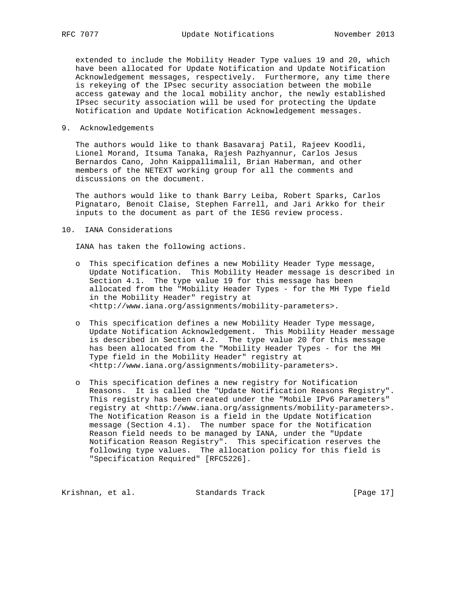extended to include the Mobility Header Type values 19 and 20, which have been allocated for Update Notification and Update Notification Acknowledgement messages, respectively. Furthermore, any time there is rekeying of the IPsec security association between the mobile access gateway and the local mobility anchor, the newly established IPsec security association will be used for protecting the Update Notification and Update Notification Acknowledgement messages.

### 9. Acknowledgements

 The authors would like to thank Basavaraj Patil, Rajeev Koodli, Lionel Morand, Itsuma Tanaka, Rajesh Pazhyannur, Carlos Jesus Bernardos Cano, John Kaippallimalil, Brian Haberman, and other members of the NETEXT working group for all the comments and discussions on the document.

 The authors would like to thank Barry Leiba, Robert Sparks, Carlos Pignataro, Benoit Claise, Stephen Farrell, and Jari Arkko for their inputs to the document as part of the IESG review process.

#### 10. IANA Considerations

IANA has taken the following actions.

- o This specification defines a new Mobility Header Type message, Update Notification. This Mobility Header message is described in Section 4.1. The type value 19 for this message has been allocated from the "Mobility Header Types - for the MH Type field in the Mobility Header" registry at <http://www.iana.org/assignments/mobility-parameters>.
- o This specification defines a new Mobility Header Type message, Update Notification Acknowledgement. This Mobility Header message is described in Section 4.2. The type value 20 for this message has been allocated from the "Mobility Header Types - for the MH Type field in the Mobility Header" registry at <http://www.iana.org/assignments/mobility-parameters>.
- o This specification defines a new registry for Notification Reasons. It is called the "Update Notification Reasons Registry". This registry has been created under the "Mobile IPv6 Parameters" registry at <http://www.iana.org/assignments/mobility-parameters>. The Notification Reason is a field in the Update Notification message (Section 4.1). The number space for the Notification Reason field needs to be managed by IANA, under the "Update Notification Reason Registry". This specification reserves the following type values. The allocation policy for this field is "Specification Required" [RFC5226].

Krishnan, et al. Standards Track [Page 17]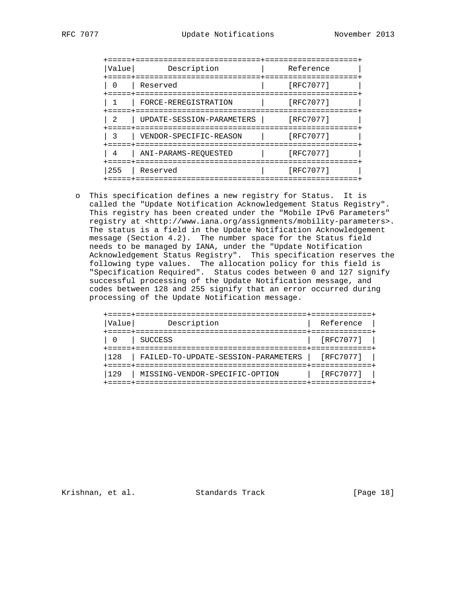| Value          | Description               | Reference |
|----------------|---------------------------|-----------|
|                | Reserved                  | [RFC7077] |
|                | FORCE-REREGISTRATION      | [RFC7077] |
| $\mathfrak{D}$ | UPDATE-SESSION-PARAMETERS | [RFC7077] |
|                | VENDOR-SPECIFIC-REASON    | [RFC7077] |
| 4              | ANI-PARAMS-REQUESTED      | [RFC7077] |
| 255            | Reserved                  | [RFC7077] |
|                |                           |           |

 o This specification defines a new registry for Status. It is called the "Update Notification Acknowledgement Status Registry". This registry has been created under the "Mobile IPv6 Parameters" registry at <http://www.iana.org/assignments/mobility-parameters>. The status is a field in the Update Notification Acknowledgement message (Section 4.2). The number space for the Status field needs to be managed by IANA, under the "Update Notification Acknowledgement Status Registry". This specification reserves the following type values. The allocation policy for this field is "Specification Required". Status codes between 0 and 127 signify successful processing of the Update Notification message, and codes between 128 and 255 signify that an error occurred during processing of the Update Notification message.

| Value | Description                                   | Reference |  |
|-------|-----------------------------------------------|-----------|--|
|       | ===========================<br><b>SUCCESS</b> | [RFC7077] |  |
| 128   | FAILED-TO-UPDATE-SESSION-PARAMETERS           | [RFC7077] |  |
| 129   | MISSING-VENDOR-SPECIFIC-OPTION                | [RFC7077] |  |
|       | =============================                 |           |  |

Krishnan, et al. Standards Track [Page 18]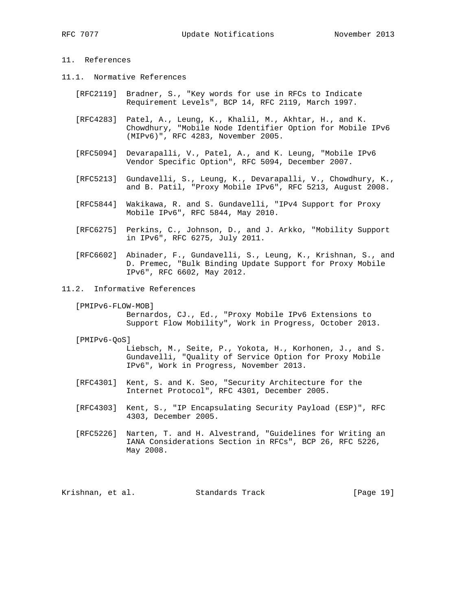# 11. References

- 11.1. Normative References
	- [RFC2119] Bradner, S., "Key words for use in RFCs to Indicate Requirement Levels", BCP 14, RFC 2119, March 1997.
	- [RFC4283] Patel, A., Leung, K., Khalil, M., Akhtar, H., and K. Chowdhury, "Mobile Node Identifier Option for Mobile IPv6 (MIPv6)", RFC 4283, November 2005.
	- [RFC5094] Devarapalli, V., Patel, A., and K. Leung, "Mobile IPv6 Vendor Specific Option", RFC 5094, December 2007.
	- [RFC5213] Gundavelli, S., Leung, K., Devarapalli, V., Chowdhury, K., and B. Patil, "Proxy Mobile IPv6", RFC 5213, August 2008.
	- [RFC5844] Wakikawa, R. and S. Gundavelli, "IPv4 Support for Proxy Mobile IPv6", RFC 5844, May 2010.
	- [RFC6275] Perkins, C., Johnson, D., and J. Arkko, "Mobility Support in IPv6", RFC 6275, July 2011.
	- [RFC6602] Abinader, F., Gundavelli, S., Leung, K., Krishnan, S., and D. Premec, "Bulk Binding Update Support for Proxy Mobile IPv6", RFC 6602, May 2012.
- 11.2. Informative References
	- [PMIPv6-FLOW-MOB] Bernardos, CJ., Ed., "Proxy Mobile IPv6 Extensions to Support Flow Mobility", Work in Progress, October 2013.

#### [PMIPv6-QoS]

 Liebsch, M., Seite, P., Yokota, H., Korhonen, J., and S. Gundavelli, "Quality of Service Option for Proxy Mobile IPv6", Work in Progress, November 2013.

- [RFC4301] Kent, S. and K. Seo, "Security Architecture for the Internet Protocol", RFC 4301, December 2005.
- [RFC4303] Kent, S., "IP Encapsulating Security Payload (ESP)", RFC 4303, December 2005.
- [RFC5226] Narten, T. and H. Alvestrand, "Guidelines for Writing an IANA Considerations Section in RFCs", BCP 26, RFC 5226, May 2008.

Krishnan, et al. Standards Track [Page 19]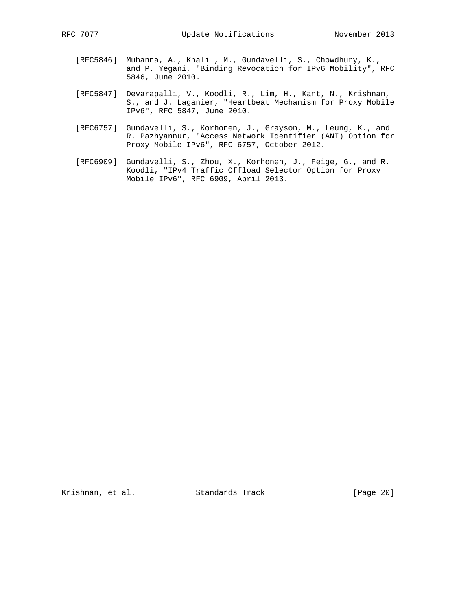- [RFC5846] Muhanna, A., Khalil, M., Gundavelli, S., Chowdhury, K., and P. Yegani, "Binding Revocation for IPv6 Mobility", RFC 5846, June 2010.
- [RFC5847] Devarapalli, V., Koodli, R., Lim, H., Kant, N., Krishnan, S., and J. Laganier, "Heartbeat Mechanism for Proxy Mobile IPv6", RFC 5847, June 2010.
- [RFC6757] Gundavelli, S., Korhonen, J., Grayson, M., Leung, K., and R. Pazhyannur, "Access Network Identifier (ANI) Option for Proxy Mobile IPv6", RFC 6757, October 2012.
- [RFC6909] Gundavelli, S., Zhou, X., Korhonen, J., Feige, G., and R. Koodli, "IPv4 Traffic Offload Selector Option for Proxy Mobile IPv6", RFC 6909, April 2013.